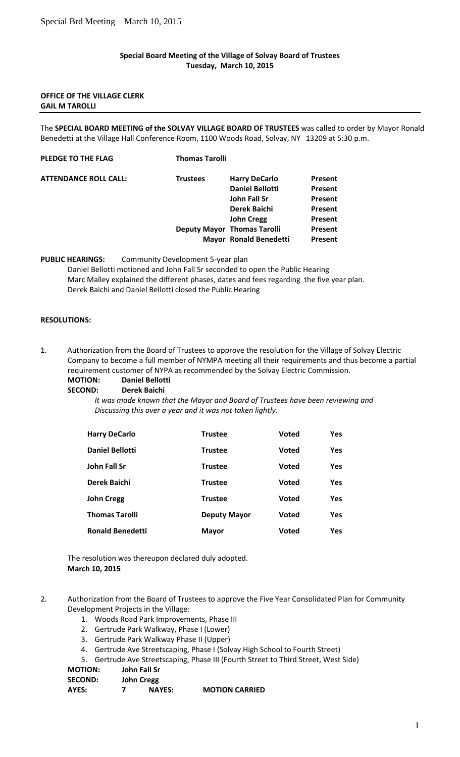#### **Special Board Meeting of the Village of Solvay Board of Trustees Tuesday, March 10, 2015**

#### **OFFICE OF THE VILLAGE CLERK GAIL M TAROLLI**

The **SPECIAL BOARD MEETING of the SOLVAY VILLAGE BOARD OF TRUSTEES** was called to order by Mayor Ronald Benedetti at the Village Hall Conference Room, 1100 Woods Road, Solvay, NY 13209 at 5:30 p.m.

# **PLEDGE TO THE FLAG Thomas Tarolli**

| <b>Trustees</b> | <b>Harry DeCarlo</b>   | Present                                                             |
|-----------------|------------------------|---------------------------------------------------------------------|
|                 | <b>Daniel Bellotti</b> | Present                                                             |
|                 | John Fall Sr           | Present                                                             |
|                 | <b>Derek Baichi</b>    | Present                                                             |
|                 | <b>John Cregg</b>      | Present                                                             |
|                 |                        | Present                                                             |
|                 |                        | Present                                                             |
|                 |                        | <b>Deputy Mayor Thomas Tarolli</b><br><b>Mayor Ronald Benedetti</b> |

**PUBLIC HEARINGS:** Community Development 5-year plan

Daniel Bellotti motioned and John Fall Sr seconded to open the Public Hearing Marc Malley explained the different phases, dates and fees regarding the five year plan. Derek Baichi and Daniel Bellotti closed the Public Hearing

### **RESOLUTIONS:**

1. Authorization from the Board of Trustees to approve the resolution for the Village of Solvay Electric Company to become a full member of NYMPA meeting all their requirements and thus become a partial requirement customer of NYPA as recommended by the Solvay Electric Commission.

#### **MOTION: Daniel Bellotti SECOND: Derek Baichi**

*It was made known that the Mayor and Board of Trustees have been reviewing and Discussing this over a year and it was not taken lightly.*

| <b>Harry DeCarlo</b>    | <b>Trustee</b>      | <b>Voted</b> | Yes |
|-------------------------|---------------------|--------------|-----|
| Daniel Bellotti         | <b>Trustee</b>      | <b>Voted</b> | Yes |
| John Fall Sr            | <b>Trustee</b>      | <b>Voted</b> | Yes |
| Derek Baichi            | <b>Trustee</b>      | <b>Voted</b> | Yes |
| John Cregg              | <b>Trustee</b>      | <b>Voted</b> | Yes |
| <b>Thomas Tarolli</b>   | <b>Deputy Mayor</b> | <b>Voted</b> | Yes |
| <b>Ronald Benedetti</b> | <b>Mayor</b>        | <b>Voted</b> | Yes |

The resolution was thereupon declared duly adopted. **March 10, 2015**

2. Authorization from the Board of Trustees to approve the Five Year Consolidated Plan for Community Development Projects in the Village:

- 1. Woods Road Park Improvements, Phase III
- 2. Gertrude Park Walkway, Phase I (Lower)
- 3. Gertrude Park Walkway Phase II (Upper)
- 4. Gertrude Ave Streetscaping, Phase I (Solvay High School to Fourth Street)
- 5. Gertrude Ave Streetscaping, Phase III (Fourth Street to Third Street, West Side)

# **MOTION: John Fall Sr**

| <b>John Cregg</b> |
|-------------------|
|                   |

| <b>MOTION CARRIED</b><br>AYES:<br><b>NAYES:</b> |  |
|-------------------------------------------------|--|